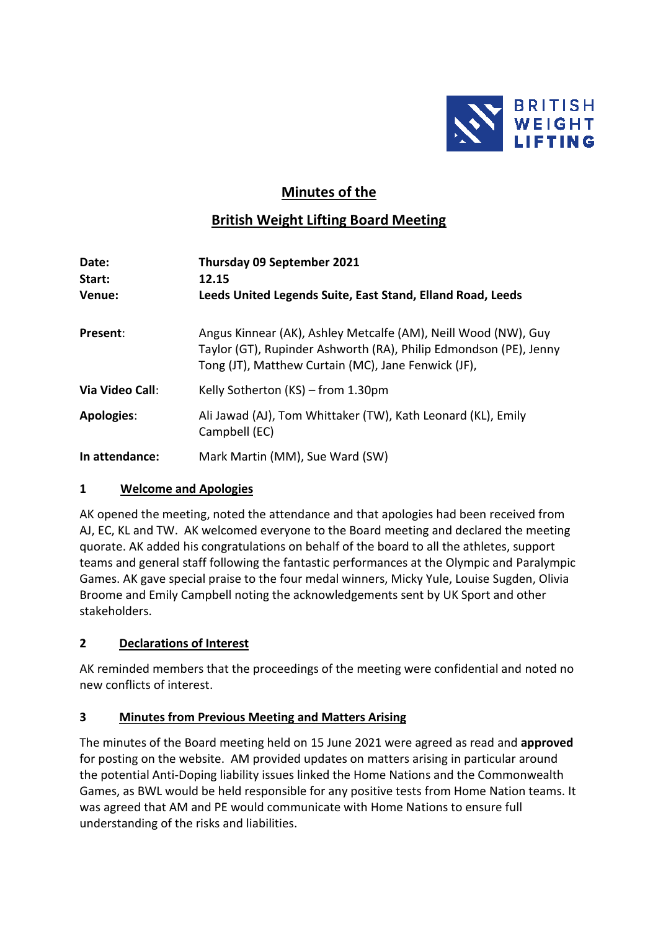

# **Minutes of the**

# **British Weight Lifting Board Meeting**

| Date:<br>Start:   | Thursday 09 September 2021<br>12.15                                                                                                                                                        |
|-------------------|--------------------------------------------------------------------------------------------------------------------------------------------------------------------------------------------|
| Venue:            | Leeds United Legends Suite, East Stand, Elland Road, Leeds                                                                                                                                 |
| Present:          | Angus Kinnear (AK), Ashley Metcalfe (AM), Neill Wood (NW), Guy<br>Taylor (GT), Rupinder Ashworth (RA), Philip Edmondson (PE), Jenny<br>Tong (JT), Matthew Curtain (MC), Jane Fenwick (JF), |
| Via Video Call:   | Kelly Sotherton (KS) – from 1.30pm                                                                                                                                                         |
| <b>Apologies:</b> | Ali Jawad (AJ), Tom Whittaker (TW), Kath Leonard (KL), Emily<br>Campbell (EC)                                                                                                              |
| In attendance:    | Mark Martin (MM), Sue Ward (SW)                                                                                                                                                            |

### **1 Welcome and Apologies**

AK opened the meeting, noted the attendance and that apologies had been received from AJ, EC, KL and TW. AK welcomed everyone to the Board meeting and declared the meeting quorate. AK added his congratulations on behalf of the board to all the athletes, support teams and general staff following the fantastic performances at the Olympic and Paralympic Games. AK gave special praise to the four medal winners, Micky Yule, Louise Sugden, Olivia Broome and Emily Campbell noting the acknowledgements sent by UK Sport and other stakeholders.

# **2 Declarations of Interest**

AK reminded members that the proceedings of the meeting were confidential and noted no new conflicts of interest.

# **3 Minutes from Previous Meeting and Matters Arising**

The minutes of the Board meeting held on 15 June 2021 were agreed as read and **approved** for posting on the website. AM provided updates on matters arising in particular around the potential Anti-Doping liability issues linked the Home Nations and the Commonwealth Games, as BWL would be held responsible for any positive tests from Home Nation teams. It was agreed that AM and PE would communicate with Home Nations to ensure full understanding of the risks and liabilities.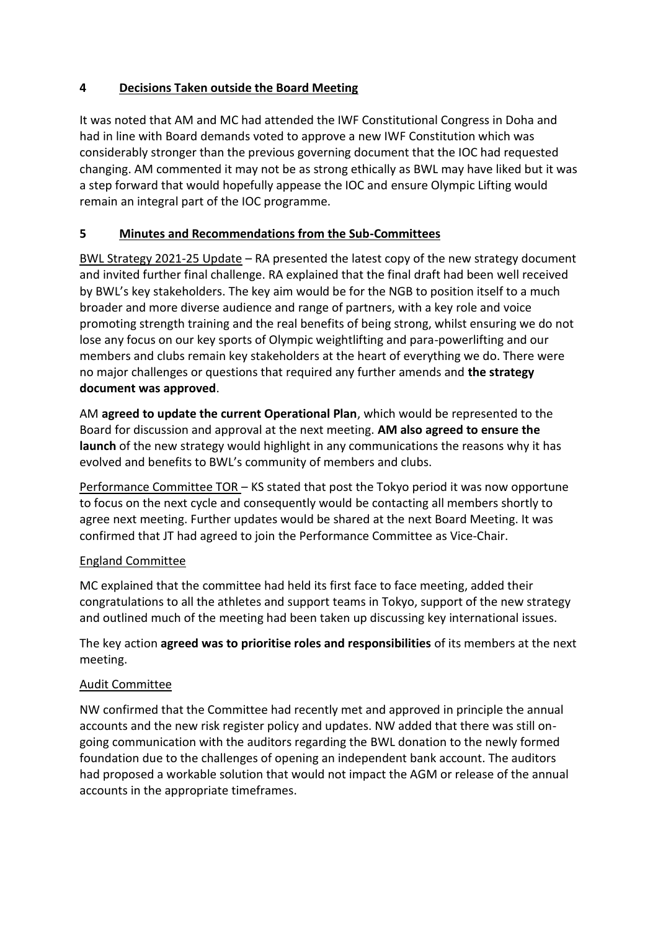### **4 Decisions Taken outside the Board Meeting**

It was noted that AM and MC had attended the IWF Constitutional Congress in Doha and had in line with Board demands voted to approve a new IWF Constitution which was considerably stronger than the previous governing document that the IOC had requested changing. AM commented it may not be as strong ethically as BWL may have liked but it was a step forward that would hopefully appease the IOC and ensure Olympic Lifting would remain an integral part of the IOC programme.

### **5 Minutes and Recommendations from the Sub-Committees**

BWL Strategy 2021-25 Update – RA presented the latest copy of the new strategy document and invited further final challenge. RA explained that the final draft had been well received by BWL's key stakeholders. The key aim would be for the NGB to position itself to a much broader and more diverse audience and range of partners, with a key role and voice promoting strength training and the real benefits of being strong, whilst ensuring we do not lose any focus on our key sports of Olympic weightlifting and para-powerlifting and our members and clubs remain key stakeholders at the heart of everything we do. There were no major challenges or questions that required any further amends and **the strategy document was approved**.

AM **agreed to update the current Operational Plan**, which would be represented to the Board for discussion and approval at the next meeting. **AM also agreed to ensure the launch** of the new strategy would highlight in any communications the reasons why it has evolved and benefits to BWL's community of members and clubs.

Performance Committee TOR - KS stated that post the Tokyo period it was now opportune to focus on the next cycle and consequently would be contacting all members shortly to agree next meeting. Further updates would be shared at the next Board Meeting. It was confirmed that JT had agreed to join the Performance Committee as Vice-Chair.

### England Committee

MC explained that the committee had held its first face to face meeting, added their congratulations to all the athletes and support teams in Tokyo, support of the new strategy and outlined much of the meeting had been taken up discussing key international issues.

The key action **agreed was to prioritise roles and responsibilities** of its members at the next meeting.

# Audit Committee

NW confirmed that the Committee had recently met and approved in principle the annual accounts and the new risk register policy and updates. NW added that there was still ongoing communication with the auditors regarding the BWL donation to the newly formed foundation due to the challenges of opening an independent bank account. The auditors had proposed a workable solution that would not impact the AGM or release of the annual accounts in the appropriate timeframes.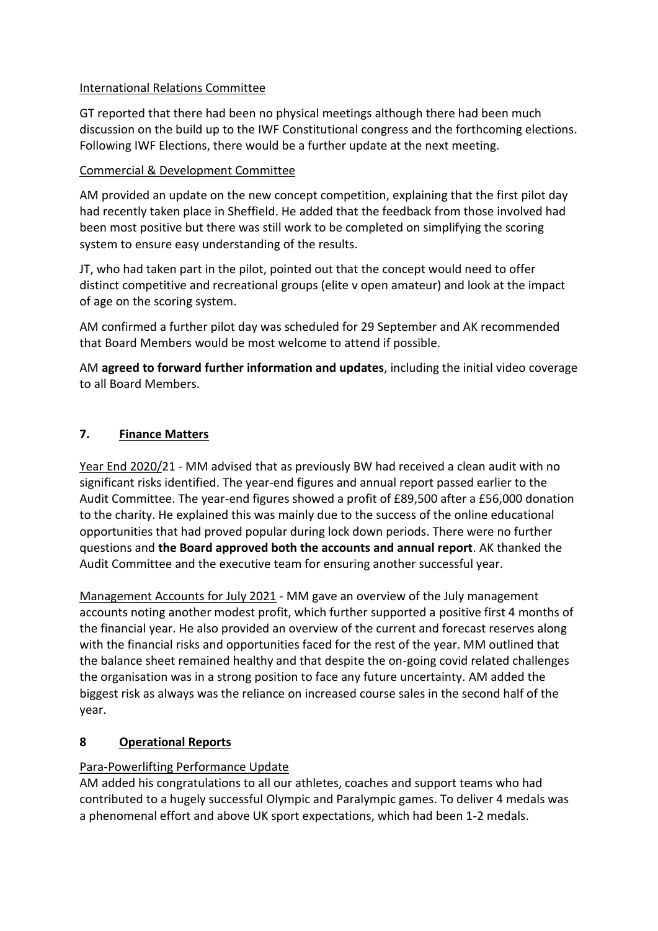### International Relations Committee

GT reported that there had been no physical meetings although there had been much discussion on the build up to the IWF Constitutional congress and the forthcoming elections. Following IWF Elections, there would be a further update at the next meeting.

### Commercial & Development Committee

AM provided an update on the new concept competition, explaining that the first pilot day had recently taken place in Sheffield. He added that the feedback from those involved had been most positive but there was still work to be completed on simplifying the scoring system to ensure easy understanding of the results.

JT, who had taken part in the pilot, pointed out that the concept would need to offer distinct competitive and recreational groups (elite v open amateur) and look at the impact of age on the scoring system.

AM confirmed a further pilot day was scheduled for 29 September and AK recommended that Board Members would be most welcome to attend if possible.

AM **agreed to forward further information and updates**, including the initial video coverage to all Board Members.

# **7. Finance Matters**

Year End 2020/21 - MM advised that as previously BW had received a clean audit with no significant risks identified. The year-end figures and annual report passed earlier to the Audit Committee. The year-end figures showed a profit of £89,500 after a £56,000 donation to the charity. He explained this was mainly due to the success of the online educational opportunities that had proved popular during lock down periods. There were no further questions and **the Board approved both the accounts and annual report**. AK thanked the Audit Committee and the executive team for ensuring another successful year.

Management Accounts for July 2021 - MM gave an overview of the July management accounts noting another modest profit, which further supported a positive first 4 months of the financial year. He also provided an overview of the current and forecast reserves along with the financial risks and opportunities faced for the rest of the year. MM outlined that the balance sheet remained healthy and that despite the on-going covid related challenges the organisation was in a strong position to face any future uncertainty. AM added the biggest risk as always was the reliance on increased course sales in the second half of the year.

### **8 Operational Reports**

# Para-Powerlifting Performance Update

AM added his congratulations to all our athletes, coaches and support teams who had contributed to a hugely successful Olympic and Paralympic games. To deliver 4 medals was a phenomenal effort and above UK sport expectations, which had been 1-2 medals.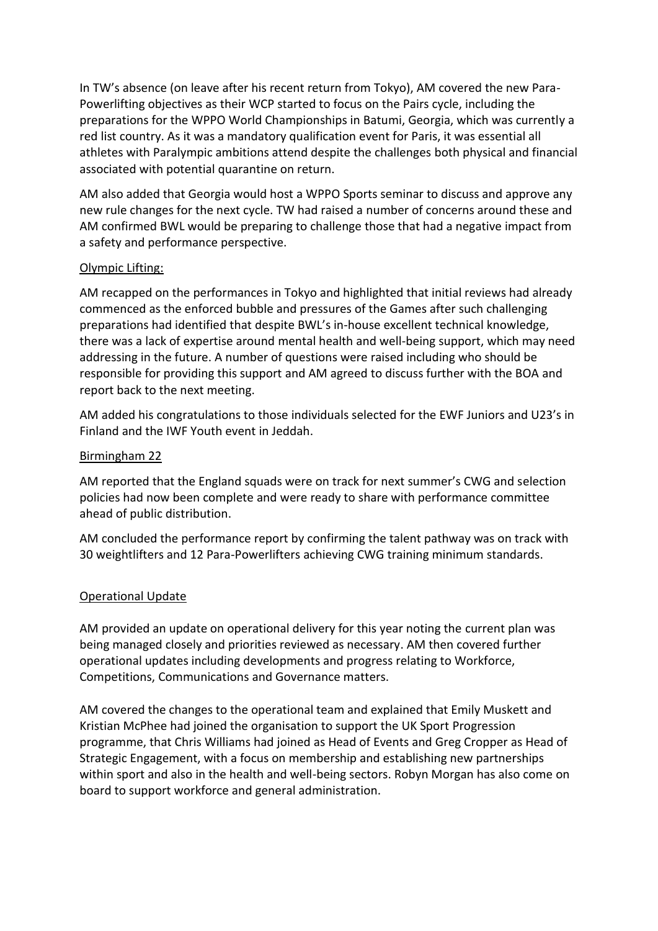In TW's absence (on leave after his recent return from Tokyo), AM covered the new Para-Powerlifting objectives as their WCP started to focus on the Pairs cycle, including the preparations for the WPPO World Championships in Batumi, Georgia, which was currently a red list country. As it was a mandatory qualification event for Paris, it was essential all athletes with Paralympic ambitions attend despite the challenges both physical and financial associated with potential quarantine on return.

AM also added that Georgia would host a WPPO Sports seminar to discuss and approve any new rule changes for the next cycle. TW had raised a number of concerns around these and AM confirmed BWL would be preparing to challenge those that had a negative impact from a safety and performance perspective.

#### Olympic Lifting:

AM recapped on the performances in Tokyo and highlighted that initial reviews had already commenced as the enforced bubble and pressures of the Games after such challenging preparations had identified that despite BWL's in-house excellent technical knowledge, there was a lack of expertise around mental health and well-being support, which may need addressing in the future. A number of questions were raised including who should be responsible for providing this support and AM agreed to discuss further with the BOA and report back to the next meeting.

AM added his congratulations to those individuals selected for the EWF Juniors and U23's in Finland and the IWF Youth event in Jeddah.

#### Birmingham 22

AM reported that the England squads were on track for next summer's CWG and selection policies had now been complete and were ready to share with performance committee ahead of public distribution.

AM concluded the performance report by confirming the talent pathway was on track with 30 weightlifters and 12 Para-Powerlifters achieving CWG training minimum standards.

### Operational Update

AM provided an update on operational delivery for this year noting the current plan was being managed closely and priorities reviewed as necessary. AM then covered further operational updates including developments and progress relating to Workforce, Competitions, Communications and Governance matters.

AM covered the changes to the operational team and explained that Emily Muskett and Kristian McPhee had joined the organisation to support the UK Sport Progression programme, that Chris Williams had joined as Head of Events and Greg Cropper as Head of Strategic Engagement, with a focus on membership and establishing new partnerships within sport and also in the health and well-being sectors. Robyn Morgan has also come on board to support workforce and general administration.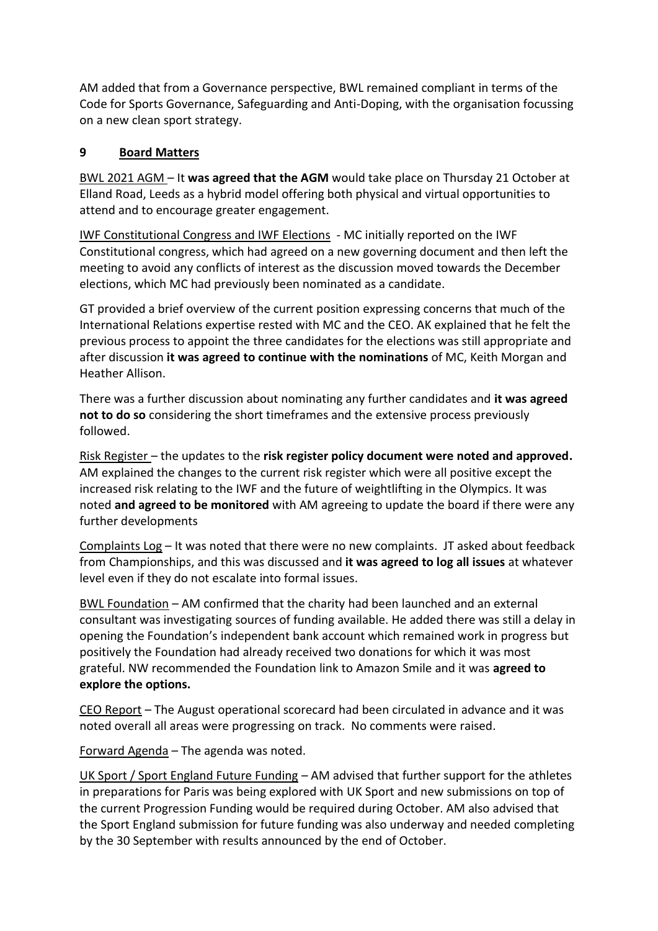AM added that from a Governance perspective, BWL remained compliant in terms of the Code for Sports Governance, Safeguarding and Anti-Doping, with the organisation focussing on a new clean sport strategy.

# **9 Board Matters**

BWL 2021 AGM – It **was agreed that the AGM** would take place on Thursday 21 October at Elland Road, Leeds as a hybrid model offering both physical and virtual opportunities to attend and to encourage greater engagement.

IWF Constitutional Congress and IWF Elections - MC initially reported on the IWF Constitutional congress, which had agreed on a new governing document and then left the meeting to avoid any conflicts of interest as the discussion moved towards the December elections, which MC had previously been nominated as a candidate.

GT provided a brief overview of the current position expressing concerns that much of the International Relations expertise rested with MC and the CEO. AK explained that he felt the previous process to appoint the three candidates for the elections was still appropriate and after discussion **it was agreed to continue with the nominations** of MC, Keith Morgan and Heather Allison.

There was a further discussion about nominating any further candidates and **it was agreed not to do so** considering the short timeframes and the extensive process previously followed.

Risk Register – the updates to the **risk register policy document were noted and approved.**  AM explained the changes to the current risk register which were all positive except the increased risk relating to the IWF and the future of weightlifting in the Olympics. It was noted **and agreed to be monitored** with AM agreeing to update the board if there were any further developments

Complaints Log – It was noted that there were no new complaints. JT asked about feedback from Championships, and this was discussed and **it was agreed to log all issues** at whatever level even if they do not escalate into formal issues.

BWL Foundation – AM confirmed that the charity had been launched and an external consultant was investigating sources of funding available. He added there was still a delay in opening the Foundation's independent bank account which remained work in progress but positively the Foundation had already received two donations for which it was most grateful. NW recommended the Foundation link to Amazon Smile and it was **agreed to explore the options.**

CEO Report – The August operational scorecard had been circulated in advance and it was noted overall all areas were progressing on track. No comments were raised.

Forward Agenda – The agenda was noted.

UK Sport / Sport England Future Funding - AM advised that further support for the athletes in preparations for Paris was being explored with UK Sport and new submissions on top of the current Progression Funding would be required during October. AM also advised that the Sport England submission for future funding was also underway and needed completing by the 30 September with results announced by the end of October.